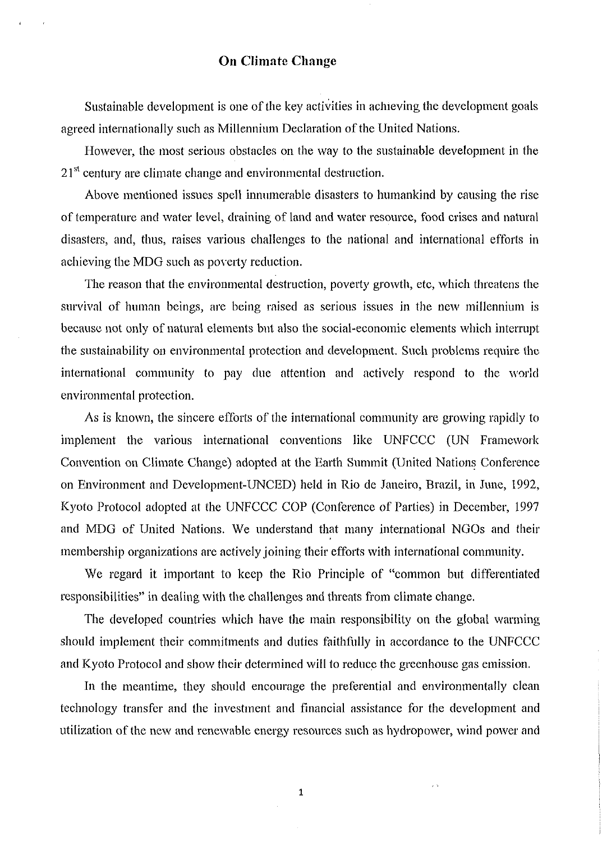## **011 Climate** Change

Sustainable development is one of the key activities in achieving the development goals agreed internationally such as Millennium Declaration of the United Nations.

However, the most serious obstacles on the way to the sustainable development in the  $21<sup>st</sup>$  century are climate change and environmental destruction.

Above mentioned issues spell innumerable disasters to humankind by causing the rise of temperature and water level, draining of land and water resource, food crises and natural disasters, and, thus, raises various challenges to the national and international efforts in achieving the MDG such as poverty reduction.

The reason that the environmental destruction, poverty growth, etc, which threatens the survival of human beings, are being raised as serious issues in the new millennium is because not only of natural elements but also the social-economic elements which interrupt the sustainability on environmental protection and development. Such problems require the international community to pay due attention and actively respond to the world environmental protection.

As is known, the sincere efforts of the international community are growing rapidly to implement the various international conventions like UNFCCC (UN Framework Convention on Climate Change) adopted at the Earth Summit (United Nations Conference on Environment and Development-UNCED) held in Rio de Janeiro, Brazil, in June, 1992, Kyoto Protocol adopted at the UNFCCC COP (Conference of Parties) in December, 1997 and MDG of United Nations. We understand that many international NGOs and their membership organizations are actively joining their efforts with international community.

We regard it important to keep the Rio Principle of "common but differentiated responsibilities" in dealing with the challenges and threats from climate change.

The developed countries which have the main responsibility on the global warming should implement their commitments and duties faithfully in accordance to the UNFCCC and Kyoto Protocol and show their determined will to reduce the greenhouse gas emission.

In the meantime, they should encourage the preferential and environmentally clean technology transfer and the investment and financial assistance for the development and utilization of the new and renewable energy resources such as hydropower, wind power and

 $\mathbf 1$ 

 $\hat{\mathcal{A}}$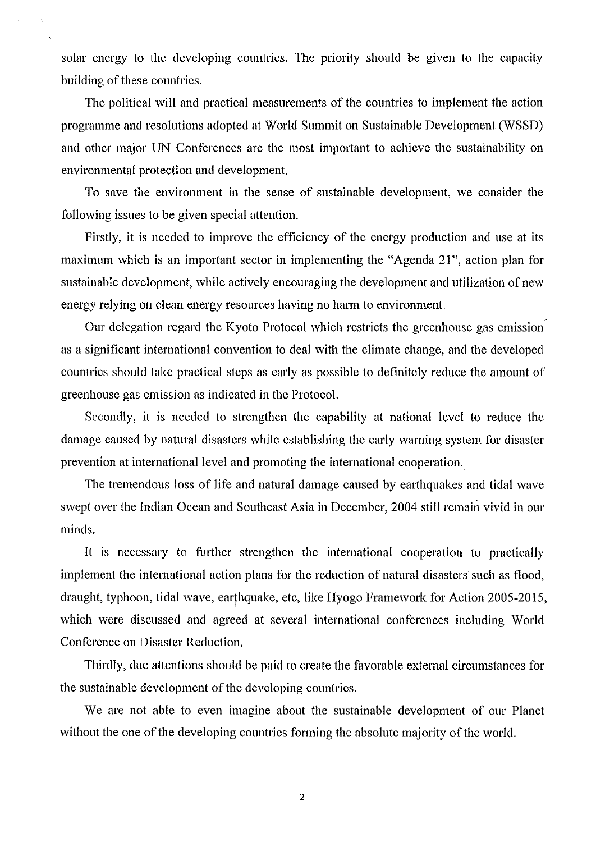solar energy to the developing countries. The priority should be given to the capacity building of these countries.

The political will and practical measurements of the countries to implement the action programme and resolutions adopted at World Summit on Sustainable Development (WSSD) and other major UN Conferences are the most important to achieve the sustainability on environmental protection and development.

To save the environment in the sense of sustainable development, we consider the following issues to be given special attention.

Firstly, it is needed to improve the efficiency of the energy production and use at its maximum which is an important sector in implementing the "Agenda 21", action plan for sustainable development, while actively encouraging the development and utilization of new energy relying on clean energy resources having no harm to environment.

Our delegation regard the Kyoto Protocol which restricts the greenhouse gas emission as a significant international convention to deal with the climate change, and the developed countries should take practical steps as early as possible to definitely reduce the amount oi' greenhouse gas emission ns indicated in the Protocol.

Secondly, it is needed to strengthen the capability at national level to reduce the damage caused by natural disasters while establishing the early warning system for disaster prevention at international level and promoting the international cooperation.

The tremendous loss of life and natural damage caused by earthquakes and tidal wave swept over the Indian Ocean and Southeast Asia in December, 2004 still remain vivid in our minds.

It is necessary to further strengthen the international cooperation to practically implement the international action plans for the reduction of natural disasters such as flood, draught, typhoon, tidal wave, earthquake, etc, like Hyogo Framework for Action 2005-2015, which were discussed and agreed at several international conferences including World Conference on Disaster Reduction.

Thirdly, due attentions should be paid to create the favorable external circumstances for the sustainable development of the developing countries.

We are not able to even imagine about the sustainable development of our Planet without the one of the developing countries forming the absolute majority of the world.

 $\overline{c}$